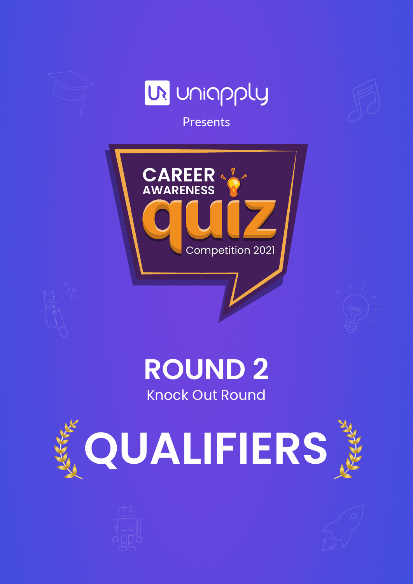

## Knock Out Round **ROUND 2**





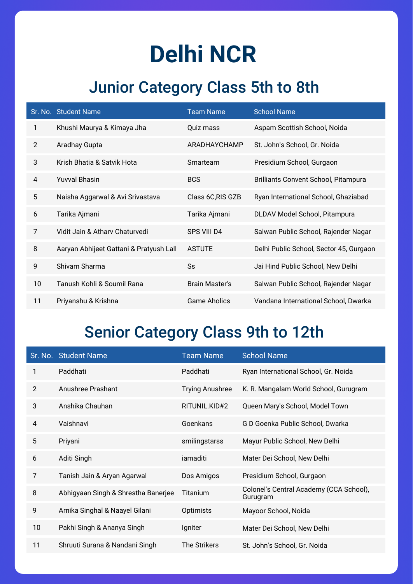## **Delhi NCR**

### Junior Category Class 5th to 8th

|                | Sr. No. Student Name                    | <b>Team Name</b>      | <b>School Name</b>                          |
|----------------|-----------------------------------------|-----------------------|---------------------------------------------|
| 1              | Khushi Maurya & Kimaya Jha              | Quiz mass             | Aspam Scottish School, Noida                |
| $\overline{2}$ | Aradhay Gupta                           | ARADHAYCHAMP          | St. John's School, Gr. Noida                |
| 3              | Krish Bhatia & Satvik Hota              | Smarteam              | Presidium School, Gurgaon                   |
| 4              | <b>Yuvval Bhasin</b>                    | <b>BCS</b>            | <b>Brilliants Convent School, Pitampura</b> |
| 5              | Naisha Aggarwal & Avi Srivastava        | Class 6C, RIS GZB     | Ryan International School, Ghaziabad        |
| 6              | Tarika Ajmani                           | Tarika Ajmani         | DLDAV Model School, Pitampura               |
| 7              | Vidit Jain & Athary Chaturvedi          | SPS VIII D4           | Salwan Public School, Rajender Nagar        |
| 8              | Aaryan Abhijeet Gattani & Pratyush Lall | <b>ASTUTE</b>         | Delhi Public School, Sector 45, Gurgaon     |
| 9              | Shivam Sharma                           | Ss                    | Jai Hind Public School, New Delhi           |
| 10             | Tanush Kohli & Soumil Rana              | <b>Brain Master's</b> | Salwan Public School, Rajender Nagar        |
| 11             | Priyanshu & Krishna                     | Game Aholics          | Vandana International School, Dwarka        |

#### Senior Category Class 9th to 12th

|                | Sr. No. Student Name                | <b>Team Name</b>       | <b>School Name</b>                                  |
|----------------|-------------------------------------|------------------------|-----------------------------------------------------|
| 1              | Paddhati                            | Paddhati               | Ryan International School, Gr. Noida                |
| $\overline{2}$ | Anushree Prashant                   | <b>Trying Anushree</b> | K. R. Mangalam World School, Gurugram               |
| 3              | Anshika Chauhan                     | RITUNIL.KID#2          | Queen Mary's School, Model Town                     |
| $\overline{4}$ | Vaishnavi                           | Goenkans               | G D Goenka Public School, Dwarka                    |
| 5              | Priyani                             | smilingstarss          | Mayur Public School, New Delhi                      |
| 6              | Aditi Singh                         | iamaditi               | Mater Dei School, New Delhi                         |
| 7              | Tanish Jain & Aryan Agarwal         | Dos Amigos             | Presidium School, Gurgaon                           |
| 8              | Abhigyaan Singh & Shrestha Banerjee | Titanium               | Colonel's Central Academy (CCA School),<br>Gurugram |
| 9              | Arnika Singhal & Naayel Gilani      | Optimists              | Mayoor School, Noida                                |
| 10             | Pakhi Singh & Ananya Singh          | Igniter                | Mater Dei School, New Delhi                         |
| 11             | Shruuti Surana & Nandani Singh      | <b>The Strikers</b>    | St. John's School, Gr. Noida                        |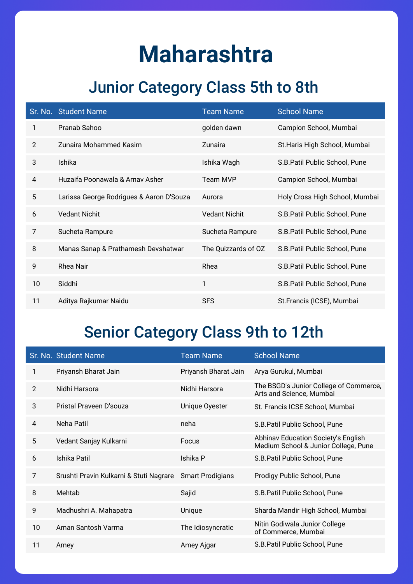## **Maharashtra**

## Junior Category Class 5th to 8th

|                | Sr. No. Student Name                     | <b>Team Name</b>     | <b>School Name</b>             |
|----------------|------------------------------------------|----------------------|--------------------------------|
| 1              | Pranab Sahoo                             | golden dawn          | Campion School, Mumbai         |
| $\overline{2}$ | Zunaira Mohammed Kasim                   | Zunaira              | St. Haris High School, Mumbai  |
| 3              | Ishika                                   | Ishika Wagh          | S.B. Patil Public School, Pune |
| 4              | Huzaifa Poonawala & Arnay Asher          | Team MVP             | Campion School, Mumbai         |
| 5              | Larissa George Rodrigues & Aaron D'Souza | Aurora               | Holy Cross High School, Mumbai |
| 6              | <b>Vedant Nichit</b>                     | <b>Vedant Nichit</b> | S.B. Patil Public School, Pune |
| 7              | Sucheta Rampure                          | Sucheta Rampure      | S.B. Patil Public School, Pune |
| 8              | Manas Sanap & Prathamesh Devshatwar      | The Quizzards of OZ  | S.B. Patil Public School, Pune |
| 9              | <b>Rhea Nair</b>                         | Rhea                 | S.B. Patil Public School, Pune |
| 10             | Siddhi                                   | 1                    | S.B. Patil Public School, Pune |
| 11             | Aditya Rajkumar Naidu                    | <b>SFS</b>           | St.Francis (ICSE), Mumbai      |

#### Senior Category Class 9th to 12th

|    | Sr. No. Student Name                    | <b>Team Name</b>        | <b>School Name</b>                                                          |
|----|-----------------------------------------|-------------------------|-----------------------------------------------------------------------------|
| 1  | Priyansh Bharat Jain                    | Priyansh Bharat Jain    | Arya Gurukul, Mumbai                                                        |
| 2  | Nidhi Harsora                           | Nidhi Harsora           | The BSGD's Junior College of Commerce,<br>Arts and Science, Mumbai          |
| 3  | Pristal Prayeen D'souza                 | Unique Oyester          | St. Francis ICSE School, Mumbai                                             |
| 4  | Neha Patil                              | neha                    | S.B. Patil Public School, Pune                                              |
| 5  | Vedant Sanjay Kulkarni                  | Focus                   | Abhinav Education Society's English<br>Medium School & Junior College, Pune |
| 6  | Ishika Patil                            | Ishika P                | S.B. Patil Public School, Pune                                              |
| 7  | Srushti Pravin Kulkarni & Stuti Nagrare | <b>Smart Prodigians</b> | Prodigy Public School, Pune                                                 |
| 8  | Mehtab                                  | Sajid                   | S.B. Patil Public School, Pune                                              |
| 9  | Madhushri A. Mahapatra                  | Unique                  | Sharda Mandir High School, Mumbai                                           |
| 10 | Aman Santosh Varma                      | The Idiosyncratic       | Nitin Godiwala Junior College<br>of Commerce, Mumbai                        |
| 11 | Amey                                    | Amey Ajgar              | S.B. Patil Public School, Pune                                              |